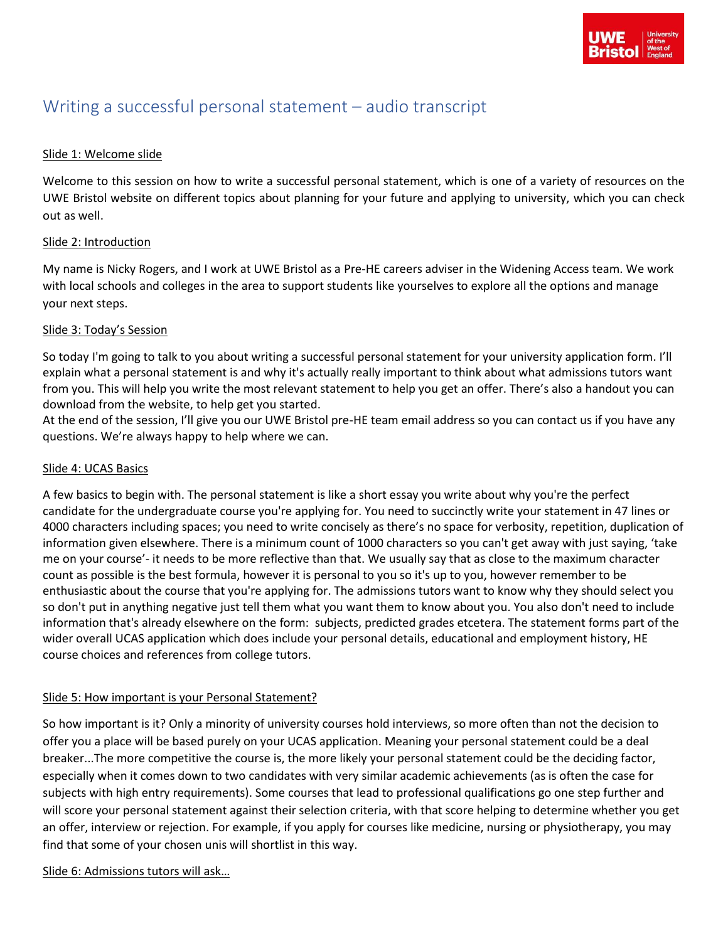# Writing a successful personal statement – audio transcript

# Slide 1: Welcome slide

Welcome to this session on how to write a successful personal statement, which is one of a variety of resources on the UWE Bristol website on different topics about planning for your future and applying to university, which you can check out as well.

# Slide 2: Introduction

My name is Nicky Rogers, and I work at UWE Bristol as a Pre-HE careers adviser in the Widening Access team. We work with local schools and colleges in the area to support students like yourselves to explore all the options and manage your next steps.

# Slide 3: Today's Session

So today I'm going to talk to you about writing a successful personal statement for your university application form. I'll explain what a personal statement is and why it's actually really important to think about what admissions tutors want from you. This will help you write the most relevant statement to help you get an offer. There's also a handout you can download from the website, to help get you started.

At the end of the session, I'll give you our UWE Bristol pre-HE team email address so you can contact us if you have any questions. We're always happy to help where we can.

#### Slide 4: UCAS Basics

A few basics to begin with. The personal statement is like a short essay you write about why you're the perfect candidate for the undergraduate course you're applying for. You need to succinctly write your statement in 47 lines or 4000 characters including spaces; you need to write concisely as there's no space for verbosity, repetition, duplication of information given elsewhere. There is a minimum count of 1000 characters so you can't get away with just saying, 'take me on your course'- it needs to be more reflective than that. We usually say that as close to the maximum character count as possible is the best formula, however it is personal to you so it's up to you, however remember to be enthusiastic about the course that you're applying for. The admissions tutors want to know why they should select you so don't put in anything negative just tell them what you want them to know about you. You also don't need to include information that's already elsewhere on the form: subjects, predicted grades etcetera. The statement forms part of the wider overall UCAS application which does include your personal details, educational and employment history, HE course choices and references from college tutors.

# Slide 5: How important is your Personal Statement?

So how important is it? Only a minority of university courses hold interviews, so more often than not the decision to offer you a place will be based purely on your UCAS application. Meaning your personal statement could be a deal breaker...The more competitive the course is, the more likely your personal statement could be the deciding factor, especially when it comes down to two candidates with very similar academic achievements (as is often the case for subjects with high entry requirements). Some courses that lead to professional qualifications go one step further and will score your personal statement against their selection criteria, with that score helping to determine whether you get an offer, interview or rejection. For example, if you apply for courses like medicine, nursing or physiotherapy, you may find that some of your chosen unis will shortlist in this way.

Slide 6: Admissions tutors will ask…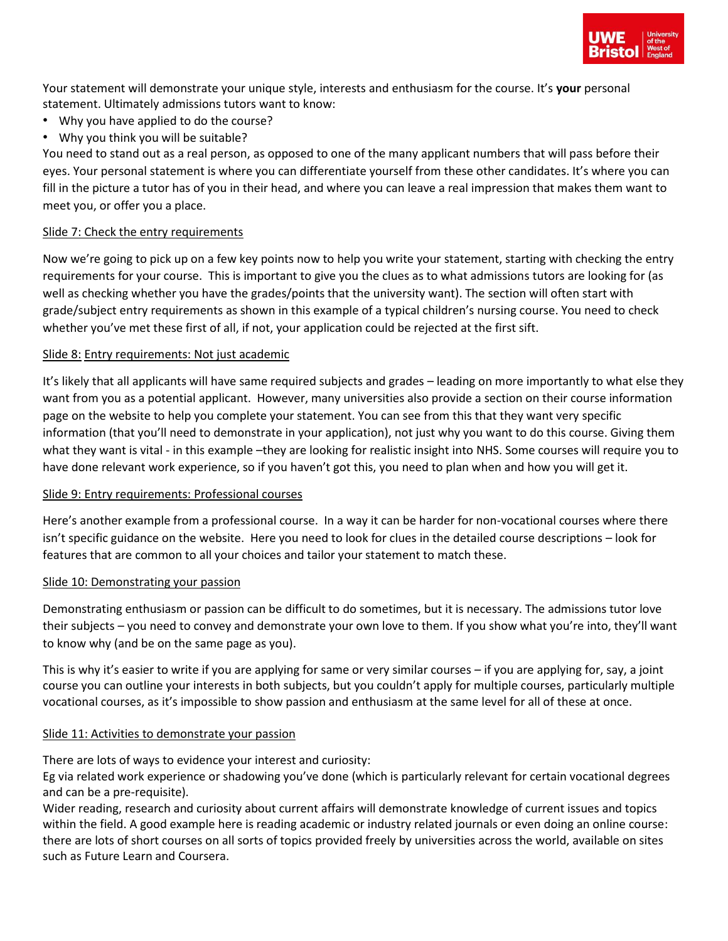

Your statement will demonstrate your unique style, interests and enthusiasm for the course. It's **your** personal statement. Ultimately admissions tutors want to know:

- Why you have applied to do the course?
- Why you think you will be suitable?

You need to stand out as a real person, as opposed to one of the many applicant numbers that will pass before their eyes. Your personal statement is where you can differentiate yourself from these other candidates. It's where you can fill in the picture a tutor has of you in their head, and where you can leave a real impression that makes them want to meet you, or offer you a place.

## Slide 7: Check the entry requirements

Now we're going to pick up on a few key points now to help you write your statement, starting with checking the entry requirements for your course. This is important to give you the clues as to what admissions tutors are looking for (as well as checking whether you have the grades/points that the university want). The section will often start with grade/subject entry requirements as shown in this example of a typical children's nursing course. You need to check whether you've met these first of all, if not, your application could be rejected at the first sift.

## Slide 8: Entry requirements: Not just academic

It's likely that all applicants will have same required subjects and grades – leading on more importantly to what else they want from you as a potential applicant. However, many universities also provide a section on their course information page on the website to help you complete your statement. You can see from this that they want very specific information (that you'll need to demonstrate in your application), not just why you want to do this course. Giving them what they want is vital - in this example –they are looking for realistic insight into NHS. Some courses will require you to have done relevant work experience, so if you haven't got this, you need to plan when and how you will get it.

#### Slide 9: Entry requirements: Professional courses

Here's another example from a professional course. In a way it can be harder for non-vocational courses where there isn't specific guidance on the website. Here you need to look for clues in the detailed course descriptions – look for features that are common to all your choices and tailor your statement to match these.

#### Slide 10: Demonstrating your passion

Demonstrating enthusiasm or passion can be difficult to do sometimes, but it is necessary. The admissions tutor love their subjects – you need to convey and demonstrate your own love to them. If you show what you're into, they'll want to know why (and be on the same page as you).

This is why it's easier to write if you are applying for same or very similar courses – if you are applying for, say, a joint course you can outline your interests in both subjects, but you couldn't apply for multiple courses, particularly multiple vocational courses, as it's impossible to show passion and enthusiasm at the same level for all of these at once.

#### Slide 11: Activities to demonstrate your passion

There are lots of ways to evidence your interest and curiosity:

Eg via related work experience or shadowing you've done (which is particularly relevant for certain vocational degrees and can be a pre-requisite).

Wider reading, research and curiosity about current affairs will demonstrate knowledge of current issues and topics within the field. A good example here is reading academic or industry related journals or even doing an online course: there are lots of short courses on all sorts of topics provided freely by universities across the world, available on sites such as Future Learn and Coursera.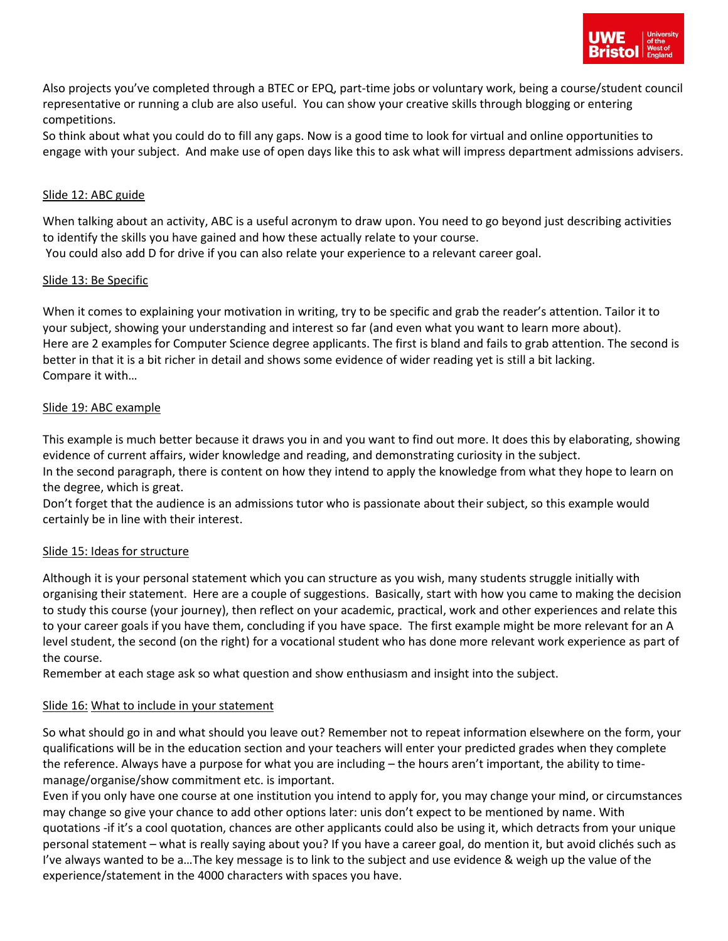

Also projects you've completed through a BTEC or EPQ, part-time jobs or voluntary work, being a course/student council representative or running a club are also useful. You can show your creative skills through blogging or entering competitions.

So think about what you could do to fill any gaps. Now is a good time to look for virtual and online opportunities to engage with your subject. And make use of open days like this to ask what will impress department admissions advisers.

#### Slide 12: ABC guide

When talking about an activity, ABC is a useful acronym to draw upon. You need to go beyond just describing activities to identify the skills you have gained and how these actually relate to your course. You could also add D for drive if you can also relate your experience to a relevant career goal.

#### Slide 13: Be Specific

When it comes to explaining your motivation in writing, try to be specific and grab the reader's attention. Tailor it to your subject, showing your understanding and interest so far (and even what you want to learn more about). Here are 2 examples for Computer Science degree applicants. The first is bland and fails to grab attention. The second is better in that it is a bit richer in detail and shows some evidence of wider reading yet is still a bit lacking. Compare it with…

## Slide 19: ABC example

This example is much better because it draws you in and you want to find out more. It does this by elaborating, showing evidence of current affairs, wider knowledge and reading, and demonstrating curiosity in the subject.

In the second paragraph, there is content on how they intend to apply the knowledge from what they hope to learn on the degree, which is great.

Don't forget that the audience is an admissions tutor who is passionate about their subject, so this example would certainly be in line with their interest.

#### Slide 15: Ideas for structure

Although it is your personal statement which you can structure as you wish, many students struggle initially with organising their statement. Here are a couple of suggestions. Basically, start with how you came to making the decision to study this course (your journey), then reflect on your academic, practical, work and other experiences and relate this to your career goals if you have them, concluding if you have space. The first example might be more relevant for an A level student, the second (on the right) for a vocational student who has done more relevant work experience as part of the course.

Remember at each stage ask so what question and show enthusiasm and insight into the subject.

# Slide 16: What to include in your statement

So what should go in and what should you leave out? Remember not to repeat information elsewhere on the form, your qualifications will be in the education section and your teachers will enter your predicted grades when they complete the reference. Always have a purpose for what you are including – the hours aren't important, the ability to timemanage/organise/show commitment etc. is important.

Even if you only have one course at one institution you intend to apply for, you may change your mind, or circumstances may change so give your chance to add other options later: unis don't expect to be mentioned by name. With quotations -if it's a cool quotation, chances are other applicants could also be using it, which detracts from your unique personal statement – what is really saying about you? If you have a career goal, do mention it, but avoid clichés such as I've always wanted to be a…The key message is to link to the subject and use evidence & weigh up the value of the experience/statement in the 4000 characters with spaces you have.